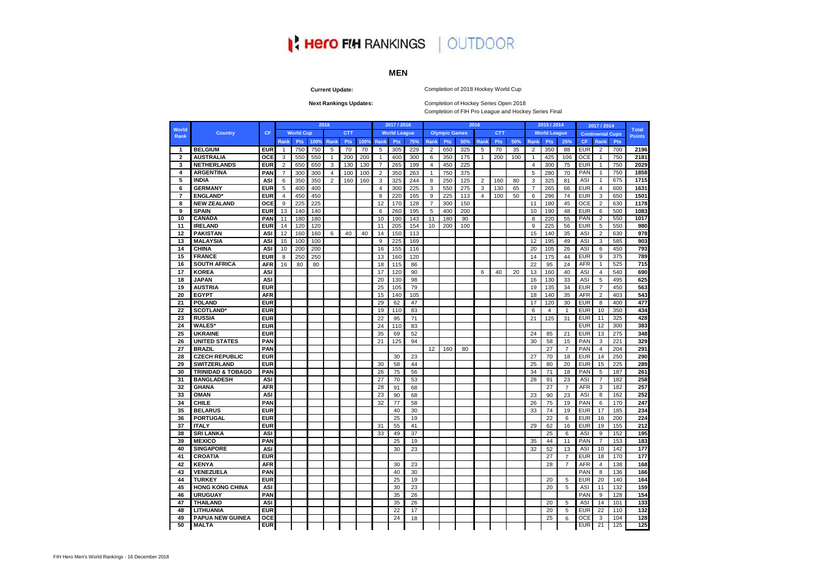# **I' Hero FIH RANKINGS | OUTDOOR**

# **MEN**

**Current Update:**

#### Completion of 2018 Hockey World Cup

**Next Rankings Updates:** 

Completion of Hockey Series Open 2018 Completion of FIH Pro League and Hockey Series Final

|                      |                              |            |                |                  |      | 2018           |            |      |                | 2017 / 2016         |     |                |                      |     | 2016           |            |     |                | 2015 / 2014         |                |            | 2017 / 2014             |     | <b>Total</b>  |
|----------------------|------------------------------|------------|----------------|------------------|------|----------------|------------|------|----------------|---------------------|-----|----------------|----------------------|-----|----------------|------------|-----|----------------|---------------------|----------------|------------|-------------------------|-----|---------------|
| <b>World</b><br>Rank | <b>Country</b>               | <b>CF</b>  |                | <b>World Cup</b> |      |                | <b>CTT</b> |      |                | <b>World League</b> |     |                | <b>Olympic Games</b> |     |                | <b>CTT</b> |     |                | <b>World League</b> |                |            | <b>Continental Cups</b> |     | <b>Points</b> |
|                      |                              |            | Rank           | Pts              | 100% | Rank           | Pts        | 100% | Rank           | <b>Pts</b>          | 75% | <b>Rank</b>    | <b>Pts</b>           | 50% | Rank           | <b>Pts</b> | 50% | Rank           | Pts                 | 25%            | CF         | Rank                    | Pts |               |
| $\mathbf{1}$         | <b>BELGIUM</b>               | <b>EUR</b> | $\mathbf{1}$   | 750              | 750  | 5              | 70         | 70   | 5              | 305                 | 229 | 2              | 650                  | 325 | 5              | 70         | 35  | 2              | 350                 | 88             | <b>EUR</b> | 2                       | 700 | 2196          |
| $\mathbf{2}$         | <b>AUSTRALIA</b>             | OCE        | 3              | 550              | 550  | $\mathbf{1}$   | 200        | 200  | $\mathbf{1}$   | 400                 | 300 | 6              | 350                  | 175 | $\mathbf{1}$   | 200        | 100 | $\mathbf{1}$   | 425                 | 106            | <b>OCE</b> | $\mathbf{1}$            | 750 | 2181          |
| 3                    | <b>NETHERLANDS</b>           | <b>EUR</b> | $\overline{2}$ | 650              | 650  | 3              | 130        | 130  | $\overline{7}$ | 265                 | 199 | $\overline{4}$ | 450                  | 225 |                |            |     | $\overline{4}$ | 300                 | 75             | <b>EUR</b> | $\mathbf{1}$            | 750 | 2029          |
| $\overline{4}$       | <b>ARGENTINA</b>             | PAN        | $\overline{7}$ | 300              | 300  | $\overline{4}$ | 100        | 100  | $\overline{2}$ | 350                 | 263 | $\overline{1}$ | 750                  | 375 |                |            |     | 5              | 280                 | 70             | PAN        | $\mathbf{1}$            | 750 | 1858          |
| 5                    | <b>INDIA</b>                 | ASI        | 6              | 350              | 350  | $\overline{2}$ | 160        | 160  | 3              | 325                 | 244 | 8              | 250                  | 125 | $\overline{2}$ | 160        | 80  | 3              | 325                 | 81             | ASI        | $\mathbf{1}$            | 675 | 1715          |
| 6                    | <b>GERMANY</b>               | <b>EUR</b> | 5              | 400              | 400  |                |            |      | $\overline{4}$ | 300                 | 225 | 3              | 550                  | 275 | 3              | 130        | 65  | $\overline{7}$ | 265                 | 66             | <b>EUR</b> | $\overline{4}$          | 600 | 1631          |
| $\overline{7}$       | <b>ENGLAND*</b>              | <b>EUR</b> | $\overline{4}$ | 450              | 450  |                |            |      | 8              | 220                 | 165 | 9              | 225                  | 113 | $\overline{4}$ | 100        | 50  | 6              | 296                 | 74             | <b>EUR</b> | 3                       | 650 | 1501          |
| 8                    | <b>NEW ZEALAND</b>           | OCE        | 9              | 225              | 225  |                |            |      | 12             | 170                 | 128 | $\overline{7}$ | 300                  | 150 |                |            |     | 11             | 180                 | 45             | OCE        | $\overline{c}$          | 630 | 1178          |
| 9                    | <b>SPAIN</b>                 | <b>EUR</b> | 13             | 140              | 140  |                |            |      | 6              | 260                 | 195 | 5              | 400                  | 200 |                |            |     | 10             | 190                 | 48             | <b>EUR</b> | 6                       | 500 | 1083          |
| 10                   | <b>CANADA</b>                | PAN        | 11             | 180              | 180  |                |            |      | 10             | 190                 | 143 | 11             | 180                  | 90  |                |            |     | 8              | 220                 | 55             | PAN        | $\overline{2}$          | 550 | 1017          |
| 11                   | <b>IRELAND</b>               | <b>EUR</b> | 14             | 120              | 120  |                |            |      | 11             | 205                 | 154 | 10             | 200                  | 100 |                |            |     | 9              | 225                 | 56             | <b>EUR</b> | 5                       | 550 | 980           |
| 12                   | <b>PAKISTAN</b>              | ASI        | 12             | 160              | 160  | 6              | 40         | 40   | 14             | 150                 | 113 |                |                      |     |                |            |     | 15             | 140                 | 35             | ASI        | $\overline{2}$          | 630 | 978           |
| 13                   | <b>MALAYSIA</b>              | <b>ASI</b> | 15             | 100              | 100  |                |            |      | 9              | 225                 | 169 |                |                      |     |                |            |     | 12             | 195                 | 49             | ASI        | 3                       | 585 | 903           |
| 14                   | <b>CHINA</b>                 | <b>ASI</b> | 10             | 200              | 200  |                |            |      | 16             | 155                 | 116 |                |                      |     |                |            |     | 20             | 105                 | 26             | ASI        | 6                       | 450 | 793           |
| 15                   | <b>FRANCE</b>                | <b>EUR</b> | 8              | 250              | 250  |                |            |      | 13             | 160                 | 120 |                |                      |     |                |            |     | 14             | 175                 | 44             | <b>EUR</b> | 9                       | 375 | 789           |
| 16                   | <b>SOUTH AFRICA</b>          | <b>AFR</b> | 16             | 80               | 80   |                |            |      | 18             | 115                 | 86  |                |                      |     |                |            |     | 22             | 95                  | 24             | <b>AFR</b> | 1                       | 525 | 715           |
| 17                   | <b>KOREA</b>                 | ASI        |                |                  |      |                |            |      | 17             | 120                 | 90  |                |                      |     | 6              | 40         | 20  | 13             | 160                 | 40             | ASI        | $\overline{4}$          | 540 | 690           |
| 18                   | <b>JAPAN</b>                 | <b>ASI</b> |                |                  |      |                |            |      | 20             | 130                 | 98  |                |                      |     |                |            |     | 16             | 130                 | 33             | ASI        | 5                       | 495 | 625           |
| 19                   | <b>AUSTRIA</b>               | <b>EUR</b> |                |                  |      |                |            |      | 25             | 105                 | 79  |                |                      |     |                |            |     | 19             | 135                 | 34             | <b>EUR</b> | $\overline{7}$          | 450 | 563           |
| 20                   | <b>EGYPT</b>                 | <b>AFR</b> |                |                  |      |                |            |      | 15             | 140                 | 105 |                |                      |     |                |            |     | 18             | 140                 | 35             | <b>AFR</b> | $\overline{2}$          | 403 | 543           |
| 21                   | <b>POLAND</b>                | <b>EUR</b> |                |                  |      |                |            |      | 29             | 62                  | 47  |                |                      |     |                |            |     | 17             | 120                 | 30             | <b>EUR</b> | 8                       | 400 | 477           |
| 22                   | <b>SCOTLAND*</b>             | <b>EUR</b> |                |                  |      |                |            |      | 19             | 110                 | 83  |                |                      |     |                |            |     | 6              | $\overline{4}$      | $\mathbf{1}$   | <b>EUR</b> | 10                      | 350 | 434           |
| 23                   | <b>RUSSIA</b>                | <b>EUR</b> |                |                  |      |                |            |      | 22             | 95                  | 71  |                |                      |     |                |            |     | 21             | 125                 | 31             | <b>EUR</b> | 11                      | 325 | 428           |
| 24                   | <b>WALES*</b>                | <b>EUR</b> |                |                  |      |                |            |      | 24             | 110                 | 83  |                |                      |     |                |            |     |                |                     |                | <b>EUR</b> | 12                      | 300 | 383           |
| 25                   | <b>UKRAINE</b>               | <b>EUR</b> |                |                  |      |                |            |      | 35             | 69                  | 52  |                |                      |     |                |            |     | 24             | 85                  | 21             | <b>EUR</b> | 13                      | 275 | 348           |
| 26                   | <b>UNITED STATES</b>         | PAN        |                |                  |      |                |            |      | 21             | 125                 | 94  |                |                      |     |                |            |     | 30             | 58                  | 15             | PAN        | 3                       | 221 | 329           |
| 27                   | <b>BRAZIL</b>                | PAN        |                |                  |      |                |            |      |                |                     |     | 12             | 160                  | 80  |                |            |     |                | 27                  | $\overline{7}$ | PAN        | $\overline{4}$          | 204 | 291           |
| 28                   | <b>CZECH REPUBLIC</b>        | <b>EUR</b> |                |                  |      |                |            |      |                | 30                  | 23  |                |                      |     |                |            |     | 27             | 70                  | 18             | <b>EUR</b> | 14                      | 250 | 290           |
| 29                   | <b>SWITZERLAND</b>           | <b>EUR</b> |                |                  |      |                |            |      | 30             | 58                  | 44  |                |                      |     |                |            |     | 25             | 80                  | 20             | <b>EUR</b> | 15                      | 225 | 289           |
| 30                   | <b>TRINIDAD &amp; TOBAGO</b> | PAN        |                |                  |      |                |            |      | 26             | 75                  | 56  |                |                      |     |                |            |     | 34             | 71                  | 18             | PAN        | 5                       | 187 | 261           |
| 31                   | <b>BANGLADESH</b>            | <b>ASI</b> |                |                  |      |                |            |      | 27             | 70                  | 53  |                |                      |     |                |            |     | 28             | 91                  | 23             | ASI        | $\overline{7}$          | 182 | 258           |
| 32                   | <b>GHANA</b>                 | <b>AFR</b> |                |                  |      |                |            |      | 28             | 91                  | 68  |                |                      |     |                |            |     |                | 27                  | $\overline{7}$ | <b>AFR</b> | 3                       | 182 | 257           |
| 33                   | <b>OMAN</b>                  | <b>ASI</b> |                |                  |      |                |            |      | 23             | 90                  | 68  |                |                      |     |                |            |     | 23             | 90                  | 23             | ASI        | 8                       | 162 | 252           |
| 34                   | <b>CHILE</b>                 | PAN        |                |                  |      |                |            |      | 32             | 77                  | 58  |                |                      |     |                |            |     | 26             | 75                  | 19             | PAN        | 6                       | 170 | 247           |
| 35                   | <b>BELARUS</b>               | <b>EUR</b> |                |                  |      |                |            |      |                | 40                  | 30  |                |                      |     |                |            |     | 33             | 74                  | 19             | <b>EUR</b> | 17                      | 185 | 234           |
| 36                   | <b>PORTUGAL</b>              | <b>EUR</b> |                |                  |      |                |            |      |                | 25                  | 19  |                |                      |     |                |            |     |                | 22                  | 6              | <b>EUR</b> | 16                      | 200 | 224           |
| 37                   | <b>ITALY</b>                 | <b>EUR</b> |                |                  |      |                |            |      | 31             | 55                  | 41  |                |                      |     |                |            |     | 29             | 62                  | 16             | <b>EUR</b> | 19                      | 155 | 212           |
| 38                   | <b>SRI LANKA</b>             | <b>ASI</b> |                |                  |      |                |            |      | 33             | 49                  | 37  |                |                      |     |                |            |     |                | 25                  | 6              | ASI        | 9                       | 152 | 195           |
| 39                   | <b>MEXICO</b>                | PAN        |                |                  |      |                |            |      |                | 25                  | 19  |                |                      |     |                |            |     | 35             | 44                  | 11             | PAN        | $\overline{7}$          | 153 | 183           |
| 40                   | <b>SINGAPORE</b>             | <b>ASI</b> |                |                  |      |                |            |      |                | 30                  | 23  |                |                      |     |                |            |     | 32             | 52                  | 13             | ASI        | 10                      | 142 | 177           |
| 41                   | <b>CROATIA</b>               | <b>EUR</b> |                |                  |      |                |            |      |                |                     |     |                |                      |     |                |            |     |                | 27                  | $\overline{7}$ | <b>EUR</b> | 18                      | 170 | 177           |
| 42                   | <b>KENYA</b>                 | <b>AFR</b> |                |                  |      |                |            |      |                | 30                  | 23  |                |                      |     |                |            |     |                | 28                  | $\overline{7}$ | <b>AFR</b> | $\overline{\mathbf{4}}$ | 138 | 168           |
| 43                   | VENEZUELA                    | PAN        |                |                  |      |                |            |      |                | 40                  | 30  |                |                      |     |                |            |     |                |                     |                | PAN        | 8                       | 136 | 166           |
| 44                   | <b>TURKEY</b>                | <b>EUR</b> |                |                  |      |                |            |      |                | 25                  | 19  |                |                      |     |                |            |     |                | 20                  | 5              | <b>EUR</b> | 20                      | 140 | 164           |
| 45                   | <b>HONG KONG CHINA</b>       | <b>ASI</b> |                |                  |      |                |            |      |                | 30                  | 23  |                |                      |     |                |            |     |                | 20                  | 5              | ASI        | 11                      | 132 | 159           |
| 46                   | <b>URUGUAY</b>               | PAN        |                |                  |      |                |            |      |                | 35                  | 26  |                |                      |     |                |            |     |                |                     |                | PAN        | 9                       | 128 | 154           |
| 47                   | <b>THAILAND</b>              | <b>ASI</b> |                |                  |      |                |            |      |                | 35                  | 26  |                |                      |     |                |            |     |                | 20                  | 5              | ASI        | 14                      | 101 | 133           |
| 48                   | LITHUANIA                    | <b>EUR</b> |                |                  |      |                |            |      |                | 22                  | 17  |                |                      |     |                |            |     |                | 20                  | 5              | <b>EUR</b> | 22                      | 110 | 132           |
| 49                   | PAPUA NEW GUINEA             | OCE        |                |                  |      |                |            |      |                | 24                  | 18  |                |                      |     |                |            |     |                | 25                  | 6              | <b>OCE</b> | 3                       | 104 | 128           |
| 50                   | <b>MALTA</b>                 | <b>EUR</b> |                |                  |      |                |            |      |                |                     |     |                |                      |     |                |            |     |                |                     |                | <b>EUR</b> | 21                      | 125 | 125           |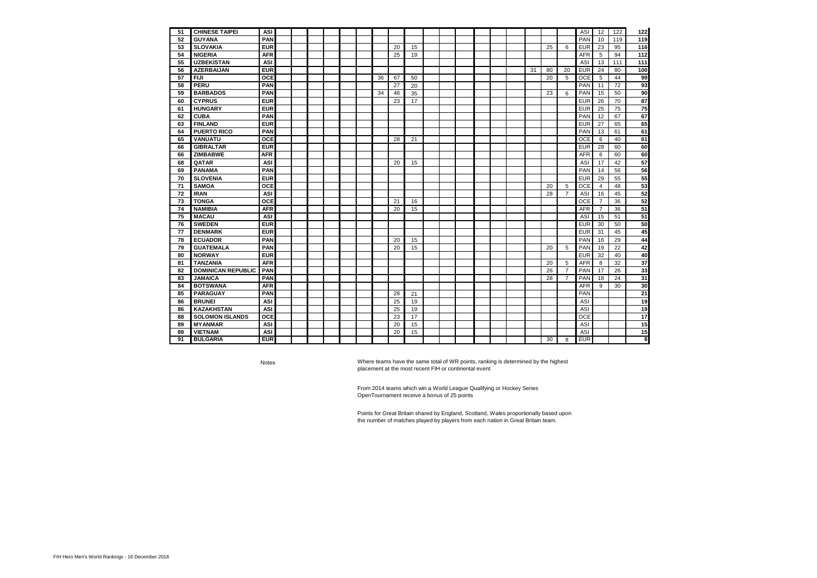| 51 | <b>CHINESE TAIPEI</b>     | ASI        |  |  |  |    |    |    |  |  |  |    |    |                | <b>ASI</b> | 12             | 122 | 122 |
|----|---------------------------|------------|--|--|--|----|----|----|--|--|--|----|----|----------------|------------|----------------|-----|-----|
| 52 | <b>GUYANA</b>             | PAN        |  |  |  |    |    |    |  |  |  |    |    |                | PAN        | 10             | 119 | 119 |
| 53 | <b>SLOVAKIA</b>           | <b>EUR</b> |  |  |  |    | 20 | 15 |  |  |  |    | 25 | 6              | <b>EUR</b> | 23             | 95  | 116 |
| 54 | <b>NIGERIA</b>            | <b>AFR</b> |  |  |  |    | 25 | 19 |  |  |  |    |    |                | <b>AFR</b> | 5              | 94  | 112 |
| 55 | <b>UZBEKISTAN</b>         | <b>ASI</b> |  |  |  |    |    |    |  |  |  |    |    |                | ASI        | 13             | 111 | 111 |
| 56 | <b>AZERBAIJAN</b>         | <b>EUR</b> |  |  |  |    |    |    |  |  |  | 31 | 80 | 20             | <b>EUR</b> | 24             | 80  | 100 |
| 57 | <b>FIJI</b>               | <b>OCE</b> |  |  |  | 36 | 67 | 50 |  |  |  |    | 20 | 5              | OCE        | 5              | 44  | 99  |
| 58 | <b>PERU</b>               | PAN        |  |  |  |    | 27 | 20 |  |  |  |    |    |                | PAN        | 11             | 72  | 93  |
| 59 | <b>BARBADOS</b>           | PAN        |  |  |  | 34 | 46 | 35 |  |  |  |    | 23 | 6              | PAN        | 15             | 50  | 90  |
| 60 | <b>CYPRUS</b>             | <b>EUR</b> |  |  |  |    | 23 | 17 |  |  |  |    |    |                | <b>EUR</b> | 26             | 70  | 87  |
| 61 | <b>HUNGARY</b>            | <b>EUR</b> |  |  |  |    |    |    |  |  |  |    |    |                | <b>EUR</b> | 25             | 75  | 75  |
| 62 | <b>CUBA</b>               | <b>PAN</b> |  |  |  |    |    |    |  |  |  |    |    |                | PAN        | 12             | 67  | 67  |
| 63 | <b>FINLAND</b>            | <b>EUR</b> |  |  |  |    |    |    |  |  |  |    |    |                | <b>EUR</b> | 27             | 65  | 65  |
| 64 | <b>PUERTO RICO</b>        | <b>PAN</b> |  |  |  |    |    |    |  |  |  |    |    |                | PAN        | 13             | 61  | 61  |
| 65 | VANUATU                   | <b>OCE</b> |  |  |  |    | 28 | 21 |  |  |  |    |    |                | OCE        | 6              | 40  | 61  |
| 66 | <b>GIBRALTAR</b>          | <b>EUR</b> |  |  |  |    |    |    |  |  |  |    |    |                | <b>EUR</b> | 28             | 60  | 60  |
| 66 | <b>ZIMBABWE</b>           | <b>AFR</b> |  |  |  |    |    |    |  |  |  |    |    |                | <b>AFR</b> | 6              | 60  | 60  |
| 68 | QATAR                     | <b>ASI</b> |  |  |  |    | 20 | 15 |  |  |  |    |    |                | ASI        | 17             | 42  | 57  |
| 69 | <b>PANAMA</b>             | PAN        |  |  |  |    |    |    |  |  |  |    |    |                | PAN        | 14             | 56  | 56  |
| 70 | <b>SLOVENIA</b>           | <b>EUR</b> |  |  |  |    |    |    |  |  |  |    |    |                | <b>EUR</b> | 29             | 55  | 55  |
| 71 | <b>SAMOA</b>              | OCE        |  |  |  |    |    |    |  |  |  |    | 20 | 5              | <b>OCE</b> | $\overline{4}$ | 48  | 53  |
| 72 | <b>IRAN</b>               | ASI        |  |  |  |    |    |    |  |  |  |    | 28 | $\overline{7}$ | ASI        | 16             | 45  | 52  |
| 73 | <b>TONGA</b>              | <b>OCE</b> |  |  |  |    | 21 | 16 |  |  |  |    |    |                | OCE        | $\overline{7}$ | 36  | 52  |
| 74 | <b>NAMIBIA</b>            | <b>AFR</b> |  |  |  |    | 20 | 15 |  |  |  |    |    |                | <b>AFR</b> | $\overline{7}$ | 36  | 51  |
| 75 | <b>MACAU</b>              | ASI        |  |  |  |    |    |    |  |  |  |    |    |                | ASI        | 15             | 51  | 51  |
| 76 | <b>SWEDEN</b>             | <b>EUR</b> |  |  |  |    |    |    |  |  |  |    |    |                | <b>EUR</b> | 30             | 50  | 50  |
| 77 | <b>DENMARK</b>            | <b>EUR</b> |  |  |  |    |    |    |  |  |  |    |    |                | <b>EUR</b> | 31             | 45  | 45  |
| 78 | <b>ECUADOR</b>            | <b>PAN</b> |  |  |  |    | 20 | 15 |  |  |  |    |    |                | PAN        | 16             | 29  | 44  |
| 79 | <b>GUATEMALA</b>          | PAN        |  |  |  |    | 20 | 15 |  |  |  |    | 20 | 5              | PAN        | 19             | 22  | 42  |
| 80 | <b>NORWAY</b>             | <b>EUR</b> |  |  |  |    |    |    |  |  |  |    |    |                | <b>EUR</b> | 32             | 40  | 40  |
| 81 | <b>TANZANIA</b>           | <b>AFR</b> |  |  |  |    |    |    |  |  |  |    | 20 | 5              | <b>AFR</b> | 8              | 32  | 37  |
| 82 | <b>DOMINICAN REPUBLIC</b> | <b>PAN</b> |  |  |  |    |    |    |  |  |  |    | 26 | $\overline{7}$ | PAN        | 17             | 26  | 33  |
| 83 | <b>JAMAICA</b>            | <b>PAN</b> |  |  |  |    |    |    |  |  |  |    | 28 | $\overline{7}$ | PAN        | 18             | 24  | 31  |
| 84 | <b>BOTSWANA</b>           | <b>AFR</b> |  |  |  |    |    |    |  |  |  |    |    |                | <b>AFR</b> | 9              | 30  | 30  |
| 85 | <b>PARAGUAY</b>           | <b>PAN</b> |  |  |  |    | 28 | 21 |  |  |  |    |    |                | PAN        |                |     | 21  |
| 86 | <b>BRUNEI</b>             | <b>ASI</b> |  |  |  |    | 25 | 19 |  |  |  |    |    |                | ASI        |                |     | 19  |
| 86 | <b>KAZAKHSTAN</b>         | ASI        |  |  |  |    | 25 | 19 |  |  |  |    |    |                | ASI        |                |     | 19  |
| 88 | <b>SOLOMON ISLANDS</b>    | <b>OCE</b> |  |  |  |    | 23 | 17 |  |  |  |    |    |                | OCE        |                |     | 17  |
| 89 | <b>MYANMAR</b>            | <b>ASI</b> |  |  |  |    | 20 | 15 |  |  |  |    |    |                | ASI        |                |     | 15  |
| 89 | <b>VIETNAM</b>            | ASI        |  |  |  |    | 20 | 15 |  |  |  |    |    |                | ASI        |                |     | 15  |
| 91 | <b>BULGARIA</b>           | <b>EUR</b> |  |  |  |    |    |    |  |  |  |    | 30 | 8              | <b>EUR</b> |                |     | 8   |

Notes

Where teams have the same total of WR points, ranking is determined by the highest placement at the most recent FIH or continental event

From 2014 teams which win a World League Qualifying or Hockey Series OpenTournament receive a bonus of 25 points

Points for Great Britain shared by England, Scotland, Wales proportionally based upon the number of matches played by players from each nation in Great Britain team.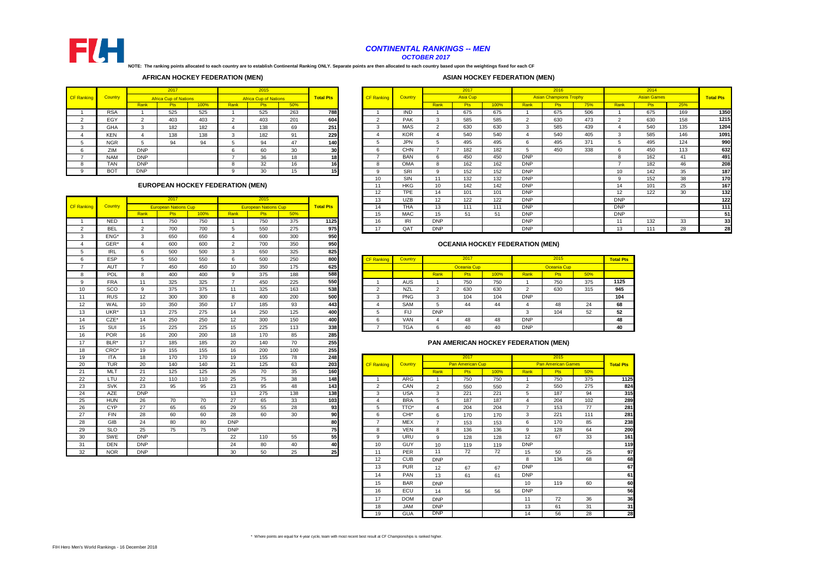

### *CONTINENTAL RANKINGS -- MEN OCTOBER 2017*

**NOTE: The ranking points allocated to each country are to establish Continental Ranking ONLY. Separate points are then allocated to each country based upon the weightings fixed for each CF** 

## **AFRICAN HOCKEY FEDERATION (MEN)**

## **ASIAN HOCKEY FEDERATION (MEN)**

|                   |            |                | 2017                         |      |      | 2015                         |     |                  |                   |            |      | 2017       |
|-------------------|------------|----------------|------------------------------|------|------|------------------------------|-----|------------------|-------------------|------------|------|------------|
| <b>CF Ranking</b> | Country    |                | <b>Africa Cup of Nations</b> |      |      | <b>Africa Cup of Nations</b> |     | <b>Total Pts</b> | <b>CF Ranking</b> | Country    |      | Asia C     |
|                   |            | Rank           | <b>Pts</b>                   | 100% | Rank | <b>Pts</b>                   | 50% |                  |                   |            | Rank | <b>Pts</b> |
|                   | <b>RSA</b> |                | 525                          | 525  |      | 525                          | 263 | 788              |                   | <b>IND</b> |      | 675        |
| $\sim$            | EGY        | $\overline{2}$ | 403                          | 403  |      | 403                          | 201 | 604              | ◠<br>ے            | <b>PAK</b> | 3    | 585        |
|                   | <b>GHA</b> |                | 182                          | 182  |      | 138                          | 69  | 251              | 3                 | <b>MAS</b> | 2    | 630        |
|                   | <b>KEN</b> | 4              | 138                          | 138  |      | 182                          | 91  | 229              | 4                 | <b>KOR</b> | 4    | 540        |
|                   | <b>NGR</b> | 5              | 94                           | 94   |      | 94                           | 47  | <b>140</b>       | 5                 | <b>JPN</b> | 5    | 495        |
| 6                 | ZIM        | <b>DNP</b>     |                              |      | 6    | 60                           | 30  | 30               | 6                 | <b>CHN</b> |      | 182        |
|                   | <b>NAM</b> | <b>DNP</b>     |                              |      |      | 36                           | 18  | 18               |                   | <b>BAN</b> | 6    | 450        |
| 8                 | TAN        | <b>DNP</b>     |                              |      |      | 32                           | 16  | 16               | 8                 | <b>OMA</b> | 8    | 162        |
| 9                 | <b>BOT</b> | <b>DNP</b>     |                              |      | 9    | 30                           | 15  | 15               | 9                 | SRI        | 9    | 152        |

## **EUROPEAN HOCKEY FEDERATION (MEN)**

|                   |            |                | 2017                        |      |                | 2015                        |     |                  | 13                | UZB              | 12             | 122                                    | 122  | <b>DNP</b>     |                                      |     | DN              |
|-------------------|------------|----------------|-----------------------------|------|----------------|-----------------------------|-----|------------------|-------------------|------------------|----------------|----------------------------------------|------|----------------|--------------------------------------|-----|-----------------|
| <b>CF Ranking</b> | Country    |                | <b>European Nations Cup</b> |      |                | <b>European Nations Cup</b> |     | <b>Total Pts</b> | 14                | <b>THA</b>       | 13             | 111                                    | 111  | <b>DNP</b>     |                                      |     | DN              |
|                   |            | Rank           | Pts                         | 100% | Rank           | Pts                         | 50% |                  | 15                | <b>MAC</b>       | 15             | 51                                     | 51   | <b>DNP</b>     |                                      |     | DN              |
| $\overline{1}$    | <b>NED</b> | $\overline{1}$ | 750                         | 750  | $\overline{1}$ | 750                         | 375 | 1125             | 16                | IRI              | <b>DNP</b>     |                                        |      | <b>DNP</b>     |                                      |     | 11              |
| $\overline{2}$    | <b>BEL</b> | $\overline{2}$ | 700                         | 700  | 5              | 550                         | 275 | 975              | 17                | QAT              | <b>DNP</b>     |                                        |      | <b>DNP</b>     |                                      |     | 13              |
| 3                 | ENG*       | 3              | 650                         | 650  | $\overline{4}$ | 600                         | 300 | 950              |                   |                  |                |                                        |      |                |                                      |     |                 |
| $\overline{4}$    | GER*       | $\overline{a}$ | 600                         | 600  | $\overline{2}$ | 700                         | 350 | 950              |                   |                  |                | <b>OCEANIA HOCKEY FEDERATION (MEN)</b> |      |                |                                      |     |                 |
| 5                 | <b>IRL</b> | 6              | 500                         | 500  | 3              | 650                         | 325 | 825              |                   |                  |                |                                        |      |                |                                      |     |                 |
| 6                 | ESP        | 5              | 550                         | 550  | 6              | 500                         | 250 | 800              | <b>CF Ranking</b> | Country          |                | 2017                                   |      |                | 2015                                 |     | <b>Total</b>    |
| $\overline{7}$    | AUT        | $\overline{7}$ | 450                         | 450  | 10             | 350                         | 175 | 625              |                   |                  |                | Oceania Cup                            |      |                | Oceania Cup                          |     |                 |
| 8                 | <b>POL</b> | 8              | 400                         | 400  | 9              | 375                         | 188 | 588              |                   |                  | Rank           | Pts                                    | 100% | Rank           | Pts                                  | 50% |                 |
| 9                 | <b>FRA</b> | 11             | 325                         | 325  | $\overline{7}$ | 450                         | 225 | 550              |                   | <b>AUS</b>       | $\mathbf{1}$   | 750                                    | 750  | 1              | 750                                  | 375 | 112             |
| 10                | SCO        | 9              | 375                         | 375  | 11             | 325                         | 163 | 538              | $\overline{2}$    | <b>NZL</b>       | $\overline{2}$ | 630                                    | 630  | $\overline{2}$ | 630                                  | 315 | 94              |
| 11                | <b>RUS</b> | 12             | 300                         | 300  | 8              | 400                         | 200 | 500              | 3                 | <b>PNG</b>       | 3              | 104                                    | 104  | <b>DNP</b>     |                                      |     | 10 <sub>1</sub> |
| 12                | WAL        | 10             | 350                         | 350  | 17             | 185                         | 93  | 443              | $\overline{4}$    | SAM              | 5              | 44                                     | 44   | 4              | 48                                   | 24  | 68              |
| 13                | UKR*       | 13             | 275                         | 275  | 14             | 250                         | 125 | 400              | 5                 | <b>FIJ</b>       | <b>DNP</b>     |                                        |      | 3              | 104                                  | 52  | 52              |
| 14                | $CZE^*$    | 14             | 250                         | 250  | 12             | 300                         | 150 | 400              | 6                 | VAN              | 4              | 48                                     | 48   | <b>DNP</b>     |                                      |     | 48              |
| 15                | SUI        | 15             | 225                         | 225  | 15             | 225                         | 113 | 338              | $\overline{7}$    | <b>TGA</b>       | 6              | 40                                     | 40   | <b>DNP</b>     |                                      |     | 40              |
| 16                | POR        | 16             | 200                         | 200  | 18             | 170                         | 85  | 285              |                   |                  |                |                                        |      |                |                                      |     |                 |
| 17                | BLR*       | 17             | 185                         | 185  | 20             | 140                         | 70  | 255              |                   |                  |                |                                        |      |                | PAN AMERICAN HOCKEY FEDERATION (MEN) |     |                 |
| 18                | CRO*       | 19             | 155                         | 155  | 16             | 200                         | 100 | 255              |                   |                  |                |                                        |      |                |                                      |     |                 |
| 19                | <b>ITA</b> | 18             | 170                         | 170  | 19             | 155                         | 78  | 248              |                   |                  |                | 2017                                   |      |                | 2015                                 |     |                 |
| 20                | TUR        | 20             | 140                         | 140  | 21             | 125                         | 63  | 203              | <b>CF Ranking</b> | Country          |                | Pan American Cup                       |      |                | <b>Pan American Games</b>            |     | <b>Total</b>    |
| 21                | <b>MLT</b> | 21             | 125                         | 125  | 26             | 70                          | 35  | 160              |                   |                  | Rank           | Pts                                    | 100% | Rank           | Pts                                  | 50% |                 |
| 22                | LTU        | 22             | 110                         | 110  | 25             | 75                          | 38  | 148              |                   | ARG              | $\mathbf{1}$   | 750                                    | 750  | -1             | 750                                  | 375 |                 |
| 23                | <b>SVK</b> | 23             | 95                          | 95   | 23             | 95                          | 48  | 143              | $\overline{2}$    | CAN              | $\overline{2}$ | 550                                    | 550  | $\overline{2}$ | 550                                  | 275 |                 |
| 24                | AZE        | <b>DNP</b>     |                             |      | 13             | 275                         | 138 | 138              | 3                 | <b>USA</b>       | 3              | 221                                    | 221  | 5              | 187                                  | 94  |                 |
| 25                | <b>HUN</b> | 26             | 70                          | 70   | 27             | 65                          | 33  | 103              | $\overline{4}$    | <b>BRA</b>       | 5              | 187                                    | 187  | $\overline{4}$ | 204                                  | 102 |                 |
| 26                | CYP        | 27             | 65                          | 65   | 29             | 55                          | 28  | 93               | 5                 | <b>TTO*</b>      | $\overline{4}$ | 204                                    | 204  | $\overline{7}$ | 153                                  | 77  |                 |
| 27                | <b>FIN</b> | 28             | 60                          | 60   | 28             | 60                          | 30  | 90               | 6                 | CHI <sup>*</sup> | 6              | 170                                    | 170  | 3              | 221                                  | 111 |                 |
| 28                | GIB        | 24             | 80                          | 80   | <b>DNP</b>     |                             |     | 80               | $\overline{7}$    | <b>MEX</b>       | $\overline{7}$ | 153                                    | 153  | 6              | 170                                  | 85  |                 |
| 29                | <b>SLO</b> | 25             | 75                          | 75   | <b>DNP</b>     |                             |     | 75               | 8                 | <b>VEN</b>       | 8              | 136                                    | 136  | 9              | 128                                  | 64  |                 |
| 30                | SWE        | <b>DNP</b>     |                             |      | 22             | 110                         | 55  | 55               | 9                 | <b>URU</b>       | 9              | 128                                    | 128  | 12             | 67                                   | 33  |                 |
| 31                | <b>DEN</b> | <b>DNP</b>     |                             |      | 24             | 80                          | 40  | 40               | 10                | <b>GUY</b>       | 10             | 119                                    | 119  | <b>DNP</b>     |                                      |     |                 |
| 32                | <b>NOR</b> | <b>DNP</b>     |                             |      | 30             | 50                          | 25  | 25               | 11                | PER              | 11             | 72                                     | 72   | 15             | 50                                   | 25  |                 |

|        |            |            | 2017                         |      |                                         | 2015                         |     |                  |                   |            |            | 2017       |      |            | 2016                          |     |              | 2014               |     |                  |
|--------|------------|------------|------------------------------|------|-----------------------------------------|------------------------------|-----|------------------|-------------------|------------|------------|------------|------|------------|-------------------------------|-----|--------------|--------------------|-----|------------------|
| anking | Country    |            | <b>Africa Cup of Nations</b> |      |                                         | <b>Africa Cup of Nations</b> |     | <b>Total Pts</b> | <b>CF Ranking</b> | Country    |            | Asia Cup   |      |            | <b>Asian Champions Trophy</b> |     |              | <b>Asian Games</b> |     | <b>Total Pts</b> |
|        |            | Rank       | <b>Pts</b>                   | 100% | Rank                                    | <b>Pts</b>                   | 50% |                  |                   |            | Rank       | <b>Pts</b> | 100% | Rank       | Pts                           | 75% | Rank         | <b>Pts</b>         | 25% |                  |
|        | <b>RSA</b> |            | 525                          | 525  |                                         | 525                          | 263 | 788              |                   | <b>IND</b> |            | 675        | 675  |            | 675                           | 506 |              | 675                | 169 | 1350             |
|        | EGY        |            | 403                          | 403  |                                         | 403                          | 201 | 604              |                   | PAK        | 3          | 585        | 585  |            | 630                           | 473 |              | 630                | 158 | 1215             |
|        | GHA        | 3          | 182                          | 182  |                                         | 138                          | 69  | 251              | 3                 | <b>MAS</b> | $\sim$     | 630        | 630  |            | 585                           | 439 |              | 540                | 135 | 1204             |
|        | <b>KEN</b> |            | 138                          | 138  |                                         | 182                          | 91  | 229              |                   | <b>KOR</b> |            | 540        | 540  |            | 540                           | 405 | $\sim$       | 585                | 146 | 1091             |
|        | <b>NGR</b> |            | 94                           | 94   |                                         | 94                           | 47  | 140              |                   | <b>JPN</b> | 5          | 495        | 495  |            | 495                           | 371 | $\mathbf{p}$ | 495                | 124 | 990              |
|        | ZIM        | <b>DNP</b> |                              |      |                                         | 60                           | 30  | 30               |                   | CHN        | -          | 182        | 182  |            | 450                           | 338 | 6            | 450                | 113 | 632              |
|        | <b>NAM</b> | <b>DNP</b> |                              |      |                                         | 36                           | 18  |                  |                   | <b>BAN</b> | 6          | 450        | 450  | <b>DNP</b> |                               |     |              | 162                | 41  | 491              |
|        | <b>TAN</b> | <b>DNP</b> |                              |      |                                         | 32                           | 16  |                  |                   | <b>OMA</b> |            | 162        | 162  | <b>DNP</b> |                               |     |              | 182                | 46  | 208              |
|        | <b>BOT</b> | <b>DNP</b> |                              |      |                                         | 30                           | 15  |                  |                   | SRI        | 9          | 152        | 152  | <b>DNP</b> |                               |     |              | 142                | 35  | 187              |
|        |            |            |                              |      |                                         |                              |     |                  | 10                | SIN        |            | 132        | 132  | <b>DNP</b> |                               |     | a            | 152                | 38  | 170              |
|        |            |            |                              |      | <b>EUROPEAN HOCKEY FEDERATION (MEN)</b> |                              |     |                  |                   | <b>HKG</b> | 10         | 142        | 142  | <b>DNP</b> |                               |     | 14           | 101                | 25  | 167              |
|        |            |            |                              |      |                                         |                              |     |                  | 12                | <b>TPE</b> | 14         | 101        | 101  | <b>DNP</b> |                               |     | 12           | 122                | 30  | 132              |
|        |            |            | 2017                         |      |                                         | 2015                         |     |                  | 13                | <b>UZB</b> | 12         | 122        | 122  | <b>DNP</b> |                               |     | <b>DNP</b>   |                    |     | 122              |
| anking | Country    |            | <b>European Nations Cup</b>  |      |                                         | <b>European Nations Cup</b>  |     | <b>Total Pts</b> | 14                | <b>THA</b> | 13         | 111        | 111  | <b>DNP</b> |                               |     | <b>DNP</b>   |                    |     | 111              |
|        |            | Rank       | <b>Pts</b>                   | 100% | Rank                                    | <b>Pts</b>                   | 50% |                  | 15                | MAC        | 15         | 51         | 51   | <b>DNP</b> |                               |     | <b>DNP</b>   |                    |     | 51               |
|        | <b>NED</b> |            | 750                          | 750  |                                         | 750                          | 375 | 1125             | 16                | IRI        | <b>DNP</b> |            |      | <b>DNP</b> |                               |     | 11           | 132                | 33  | 33 <sub>1</sub>  |
|        | <b>BEL</b> |            | 700                          | 700  |                                         | 550                          | 275 | 975              | 17                | OAT        | <b>DNP</b> |            |      | <b>DNP</b> |                               |     | 12           | 111                | 28  | 28               |
|        |            |            |                              |      |                                         |                              |     |                  |                   |            |            |            |      |            |                               |     |              |                    |     |                  |

## **OCEANIA HOCKEY FEDERATION (MEN)**

| 6  | ESP        |           | 550 | 550 | D                                | 500 | 250 | 800 | <b>CF Ranki</b> | Country    |            | 2017             |      |            | 2015        |     | <b>Total Pts</b> |
|----|------------|-----------|-----|-----|----------------------------------|-----|-----|-----|-----------------|------------|------------|------------------|------|------------|-------------|-----|------------------|
|    | AUT        |           | 450 | 450 | טו                               | 350 | 175 | 625 |                 |            |            | Oceania Cup      |      |            | Oceania Cup |     |                  |
| 8  | POL        |           | 400 | 400 |                                  | 375 | 188 | 588 |                 |            | Rank       | Pts <sup>1</sup> | 100% | Rank       | <b>Pts</b>  | 50% |                  |
| 9  | <b>FRA</b> | 11        | 325 | 325 |                                  | 450 | 225 | 550 |                 | AUS        |            | 750              | 750  |            | 750         | 375 | 1125             |
| 10 | SCO        |           | 375 | 375 |                                  | 325 | 163 | 538 |                 | <b>NZL</b> |            | 630              | 630  |            | 630         | 315 | 945              |
| 14 | <b>RUS</b> | 12<br>14  | 300 | 300 | ◠                                | 400 | 200 | 500 |                 | PNG        |            | 104              | 104  | <b>DNP</b> |             |     | 104              |
| 12 | WAL        | 10        | 350 | 350 | $\overline{1}$<br>$\blacksquare$ | 185 | 93  | 443 |                 | SAM        |            | 44               | 44   |            | 48          | 24  | 68               |
| 13 | UKR*       | 12<br>13. | 275 | 275 | 14                               | 250 | 125 | 400 |                 | ۳IJ        | <b>DNP</b> |                  |      | - 7        | 104         | 52  | 52               |
| 14 | CZE*       | 14        | 250 | 250 | $\sim$                           | 300 | 150 | 400 |                 | VAN        |            | 48               | 48   | <b>DNP</b> |             |     | 48               |
| 15 | SU         | 15<br>w   | 225 | 225 | 15                               | 225 | 113 | 338 |                 | <b>TGA</b> |            | 40               | 40   | <b>DNP</b> |             |     | 40               |

#### **PAN AMERICAN HOCKEY FEDERATION (MEN)**

| 19 | <b>ITA</b> | 18         | 170 | 170 | 19         | 155 | 78  | 248 |                   |            |                          | 2017                    |      |                | 2015                      |     |                  |
|----|------------|------------|-----|-----|------------|-----|-----|-----|-------------------|------------|--------------------------|-------------------------|------|----------------|---------------------------|-----|------------------|
| 20 | <b>TUR</b> | 20         | 140 | 140 | 21         | 125 | 63  | 203 | <b>CF Ranking</b> | Country    |                          | <b>Pan American Cup</b> |      |                | <b>Pan American Games</b> |     | <b>Total Pts</b> |
| 21 | MLT        | 21         | 125 | 125 | 26         | 70  | 35  | 160 |                   |            | Rank                     | Pts                     | 100% | Rank           | <b>Pts</b>                | 50% |                  |
| 22 | LTU        | 22         | 110 | 110 | 25         | 75  | 38  | 148 |                   | <b>ARG</b> |                          | 750                     | 750  |                | 750                       | 375 | 1125             |
| 23 | <b>SVK</b> | 23         | 95  | 95  | 23         | 95  | 48  | 143 | 2                 | CAN        | $\overline{2}$           | 550                     | 550  | $\overline{2}$ | 550                       | 275 | 824              |
| 24 | <b>AZE</b> | <b>DNP</b> |     |     | 13         | 275 | 138 | 138 | 3                 | <b>USA</b> | 3                        | 221                     | 221  | 5              | 187                       | 94  | 315              |
| 25 | <b>HUN</b> | 26         | 70  | 70  | 27         | 65  | 33  | 103 | 4                 | <b>BRA</b> | 5                        | 187                     | 187  | 4              | 204                       | 102 | 289              |
| 26 | <b>CYP</b> | 27         | 65  | 65  | 29         | 55  | 28  | 93  | 5                 | TTO*       | $\overline{4}$           | 204                     | 204  | $\overline{ }$ | 153                       | 77  | 281              |
| 27 | <b>FIN</b> | 28         | 60  | 60  | 28         | 60  | 30  | 90  | 6                 | CHI*       | 6                        | 170                     | 170  | 3              | 221                       | 111 | 281              |
| 28 | GIB        | 24         | 80  | 80  | <b>DNP</b> |     |     | 80  | 7                 | <b>MEX</b> | $\overline{\phantom{a}}$ | 153                     | 153  | 6              | 170                       | 85  | 238              |
| 29 | <b>SLO</b> | 25         | 75  | 75  | <b>DNP</b> |     |     | 75  | 8                 | <b>VEN</b> | 8                        | 136                     | 136  | 9              | 128                       | 64  | 200              |
| 30 | SWE        | <b>DNP</b> |     |     | 22         | 110 | 55  | 55  | 9                 | URU        | 9                        | 128                     | 128  | 12             | 67                        | 33  | 161              |
| 31 | <b>DEN</b> | <b>DNP</b> |     |     | 24         | 80  | 40  | 40  | 10                | <b>GUY</b> | 10                       | 119                     | 119  | <b>DNP</b>     |                           |     | 119              |
| 32 | <b>NOR</b> | <b>DNP</b> |     |     | 30         | 50  | 25  | 25  | 11                | PER        | 11                       | 72                      | 72   | 15             | 50                        | 25  | 97               |
|    |            |            |     |     |            |     |     |     | 12                | <b>CUB</b> | <b>DNP</b>               |                         |      | 8              | 136                       | 68  | 68               |
|    |            |            |     |     |            |     |     |     | 13                | <b>PUR</b> | 12                       | 67                      | 67   | <b>DNP</b>     |                           |     | 67               |
|    |            |            |     |     |            |     |     |     | 14                | PAN        | 13                       | 61                      | 61   | <b>DNP</b>     |                           |     | 61               |
|    |            |            |     |     |            |     |     |     | 15                | <b>BAR</b> | <b>DNP</b>               |                         |      | 10             | 119                       | 60  | 60               |
|    |            |            |     |     |            |     |     |     | 16                | ECU        | 14                       | 56                      | 56   | <b>DNP</b>     |                           |     | 56               |
|    |            |            |     |     |            |     |     |     | 17                | <b>DOM</b> | <b>DNP</b>               |                         |      | 11             | 72                        | 36  | 36               |
|    |            |            |     |     |            |     |     |     | 18                | <b>JAM</b> | <b>DNP</b>               |                         |      | 13             | 61                        | 31  | 31               |
|    |            |            |     |     |            |     |     |     | 19                | <b>GUA</b> | <b>DNP</b>               |                         |      | 14             | 56                        | 28  | 28               |